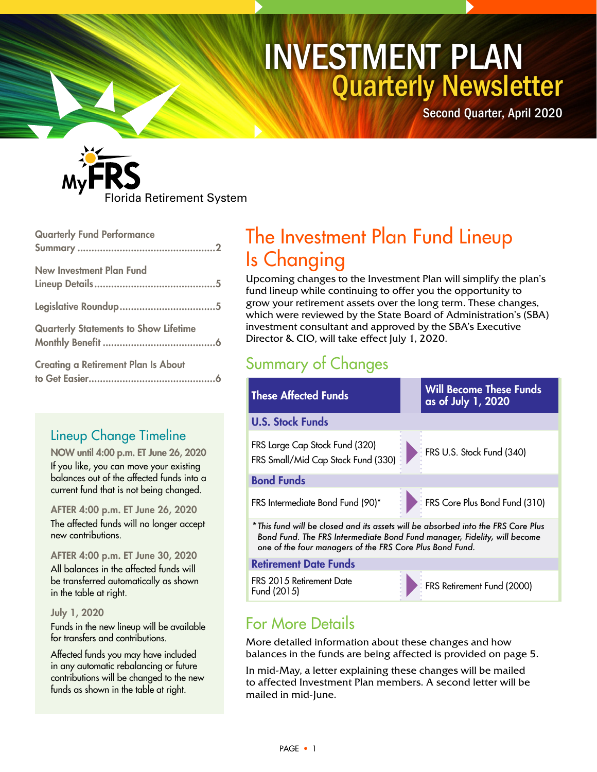# Quarterly Newsletter INVESTMENT PLAN

Second Quarter, April 2020



| <b>Quarterly Fund Performance</b>            |
|----------------------------------------------|
| <b>New Investment Plan Fund</b>              |
|                                              |
| <b>Quarterly Statements to Show Lifetime</b> |
| <b>Creating a Retirement Plan Is About</b>   |

## Lineup Change Timeline

NOW until 4:00 p.m. ET June 26, 2020 If you like, you can move your existing balances out of the affected funds into a

current fund that is not being changed.

AFTER 4:00 p.m. ET June 26, 2020 The affected funds will no longer accept new contributions.

AFTER 4:00 p.m. ET June 30, 2020 All balances in the affected funds will be transferred automatically as shown in the table at right.

July 1, 2020

Funds in the new lineup will be available for transfers and contributions.

Affected funds you may have included in any automatic rebalancing or future contributions will be changed to the new funds as shown in the table at right.

# The Investment Plan Fund Lineup Is Changing

Upcoming changes to the Investment Plan will simplify the plan's fund lineup while continuing to offer you the opportunity to grow your retirement assets over the long term. These changes, which were reviewed by the State Board of Administration's (SBA) investment consultant and approved by the SBA's Executive Director & CIO, will take effect July 1, 2020.

## Summary of Changes



FRS 2015 Retirement Date FRS Retirement Date<br>Fund (2015)

## For More Details

More detailed information about these changes and how balances in the funds are being affected is provided on page 5.

In mid-May, a letter explaining these changes will be mailed to affected Investment Plan members. A second letter will be mailed in mid-June.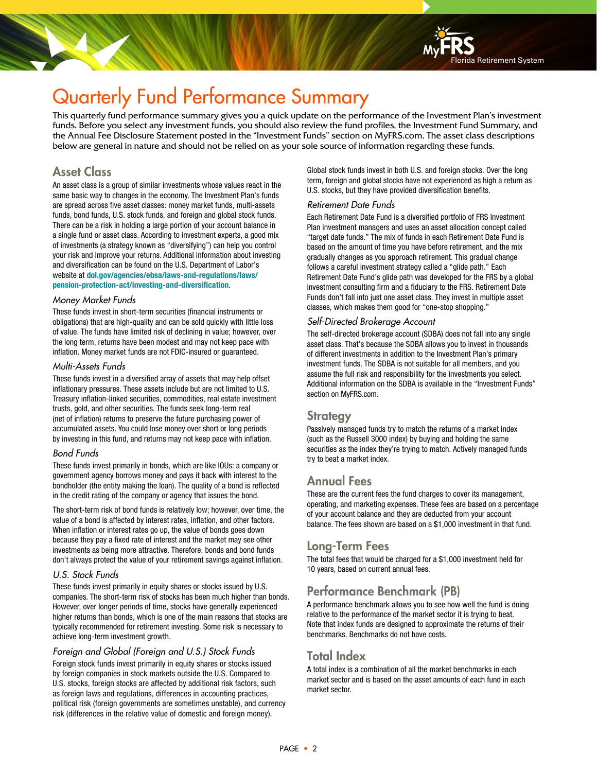# Quarterly Fund Performance Summary

This quarterly fund performance summary gives you a quick update on the performance of the Investment Plan's investment funds. Before you select any investment funds, you should also review the fund profiles, the Investment Fund Summary, and the Annual Fee Disclosure Statement posted in the "Investment Funds" section on MyFRS.com. The asset class descriptions below are general in nature and should not be relied on as your sole source of information regarding these funds.

### Asset Class

An asset class is a group of similar investments whose values react in the same basic way to changes in the economy. The Investment Plan's funds are spread across five asset classes: money market funds, multi-assets funds, bond funds, U.S. stock funds, and foreign and global stock funds. There can be a risk in holding a large portion of your account balance in a single fund or asset class. According to investment experts, a good mix of investments (a strategy known as "diversifying") can help you control your risk and improve your returns. Additional information about investing and diversification can be found on the U.S. Department of Labor's website at **[dol.gov/agencies/ebsa/laws-and-regulations/laws/](https://www.dol.gov/agencies/ebsa/laws-and-regulations/laws/pension-protection-act/investing-and-diversification) [pension-protection-act/investing-and-diversification](https://www.dol.gov/agencies/ebsa/laws-and-regulations/laws/pension-protection-act/investing-and-diversification)**.

#### Money Market Funds

These funds invest in short-term securities (financial instruments or obligations) that are high-quality and can be sold quickly with little loss of value. The funds have limited risk of declining in value; however, over the long term, returns have been modest and may not keep pace with inflation. Money market funds are not FDIC-insured or guaranteed.

#### Multi-Assets Funds

These funds invest in a diversified array of assets that may help offset inflationary pressures. These assets include but are not limited to U.S. Treasury inflation-linked securities, commodities, real estate investment trusts, gold, and other securities. The funds seek long-term real (net of inflation) returns to preserve the future purchasing power of accumulated assets. You could lose money over short or long periods by investing in this fund, and returns may not keep pace with inflation.

#### Bond Funds

These funds invest primarily in bonds, which are like IOUs: a company or government agency borrows money and pays it back with interest to the bondholder (the entity making the loan). The quality of a bond is reflected in the credit rating of the company or agency that issues the bond.

The short-term risk of bond funds is relatively low; however, over time, the value of a bond is affected by interest rates, inflation, and other factors. When inflation or interest rates go up, the value of bonds goes down because they pay a fixed rate of interest and the market may see other investments as being more attractive. Therefore, bonds and bond funds don't always protect the value of your retirement savings against inflation.

#### U.S. Stock Funds

These funds invest primarily in equity shares or stocks issued by U.S. companies. The short-term risk of stocks has been much higher than bonds. However, over longer periods of time, stocks have generally experienced higher returns than bonds, which is one of the main reasons that stocks are typically recommended for retirement investing. Some risk is necessary to achieve long-term investment growth.

#### Foreign and Global (Foreign and U.S.) Stock Funds

Foreign stock funds invest primarily in equity shares or stocks issued by foreign companies in stock markets outside the U.S. Compared to U.S. stocks, foreign stocks are affected by additional risk factors, such as foreign laws and regulations, differences in accounting practices, political risk (foreign governments are sometimes unstable), and currency risk (differences in the relative value of domestic and foreign money).

Global stock funds invest in both U.S. and foreign stocks. Over the long term, foreign and global stocks have not experienced as high a return as U.S. stocks, but they have provided diversification benefits.

#### Retirement Date Funds

Each Retirement Date Fund is a diversified portfolio of FRS Investment Plan investment managers and uses an asset allocation concept called "target date funds." The mix of funds in each Retirement Date Fund is based on the amount of time you have before retirement, and the mix gradually changes as you approach retirement. This gradual change follows a careful investment strategy called a "glide path." Each Retirement Date Fund's glide path was developed for the FRS by a global investment consulting firm and a fiduciary to the FRS. Retirement Date Funds don't fall into just one asset class. They invest in multiple asset classes, which makes them good for "one-stop shopping."

#### Self-Directed Brokerage Account

The self-directed brokerage account (SDBA) does not fall into any single asset class. That's because the SDBA allows you to invest in thousands of different investments in addition to the Investment Plan's primary investment funds. The SDBA is not suitable for all members, and you assume the full risk and responsibility for the investments you select. Additional information on the SDBA is available in the "Investment Funds" section on MyFRS.com.

#### **Strategy**

Passively managed funds try to match the returns of a market index (such as the Russell 3000 index) by buying and holding the same securities as the index they're trying to match. Actively managed funds try to beat a market index.

### Annual Fees

These are the current fees the fund charges to cover its management, operating, and marketing expenses. These fees are based on a percentage of your account balance and they are deducted from your account balance. The fees shown are based on a \$1,000 investment in that fund.

### Long-Term Fees

The total fees that would be charged for a \$1,000 investment held for 10 years, based on current annual fees.

### Performance Benchmark (PB)

A performance benchmark allows you to see how well the fund is doing relative to the performance of the market sector it is trying to beat. Note that index funds are designed to approximate the returns of their benchmarks. Benchmarks do not have costs.

### Total Index

A total index is a combination of all the market benchmarks in each market sector and is based on the asset amounts of each fund in each market sector.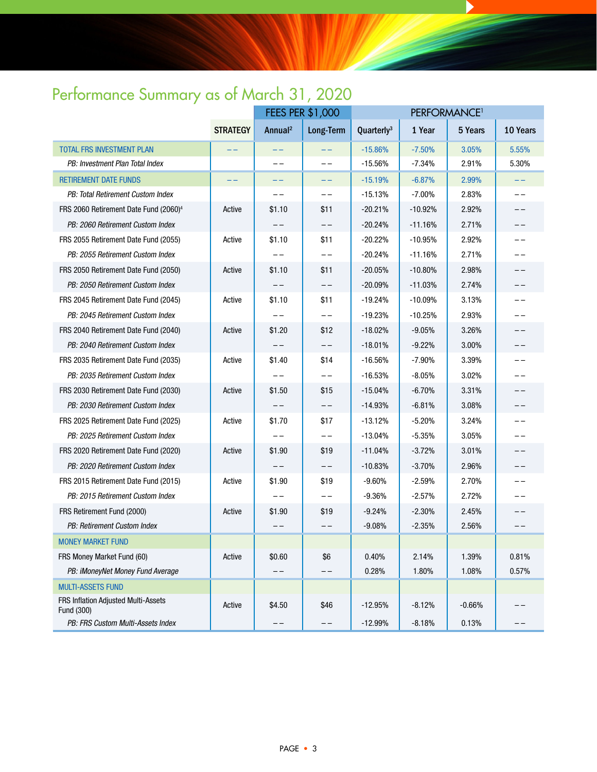# Performance Summary as of March 31, 2020

|                                                   |                 | <b>FEES PER \$1,000</b> |                  |                        |           |          |          |
|---------------------------------------------------|-----------------|-------------------------|------------------|------------------------|-----------|----------|----------|
|                                                   | <b>STRATEGY</b> | Annual <sup>2</sup>     | <b>Long-Term</b> | Quarterly <sup>3</sup> | 1 Year    | 5 Years  | 10 Years |
| <b>TOTAL FRS INVESTMENT PLAN</b>                  |                 |                         | $- -$            | $-15.86%$              | $-7.50%$  | 3.05%    | 5.55%    |
| PB: Investment Plan Total Index                   |                 | $- -$                   | $- -$            | $-15.56%$              | $-7.34%$  | 2.91%    | 5.30%    |
| <b>RETIREMENT DATE FUNDS</b>                      |                 | --                      | --               | $-15.19%$              | $-6.87%$  | 2.99%    | --       |
| PB: Total Retirement Custom Index                 |                 | --                      | $- -$            | $-15.13%$              | $-7.00%$  | 2.83%    | $- -$    |
| FRS 2060 Retirement Date Fund (2060) <sup>4</sup> | Active          | \$1.10                  | \$11             | $-20.21%$              | $-10.92%$ | 2.92%    | --       |
| PB: 2060 Retirement Custom Index                  |                 |                         | $- -$            | $-20.24%$              | $-11.16%$ | 2.71%    | $ -$     |
| FRS 2055 Retirement Date Fund (2055)              | Active          | \$1.10                  | \$11             | $-20.22\%$             | $-10.95%$ | 2.92%    | --       |
| PB: 2055 Retirement Custom Index                  |                 |                         | $- -$            | $-20.24%$              | -11.16%   | 2.71%    | --       |
| FRS 2050 Retirement Date Fund (2050)              | Active          | \$1.10                  | \$11             | $-20.05%$              | $-10.80%$ | 2.98%    | ——       |
| PB: 2050 Retirement Custom Index                  |                 |                         |                  | $-20.09%$              | $-11.03%$ | 2.74%    | --       |
| FRS 2045 Retirement Date Fund (2045)              | Active          | \$1.10                  | \$11             | $-19.24%$              | $-10.09%$ | 3.13%    | $- -$    |
| PB: 2045 Retirement Custom Index                  |                 |                         | $- -$            | $-19.23%$              | $-10.25%$ | 2.93%    | ——       |
| FRS 2040 Retirement Date Fund (2040)              | Active          | \$1.20                  | \$12             | $-18.02%$              | $-9.05%$  | 3.26%    | ——       |
| PB: 2040 Retirement Custom Index                  |                 |                         | $- -$            | $-18.01%$              | $-9.22%$  | 3.00%    | ——       |
| FRS 2035 Retirement Date Fund (2035)              | Active          | \$1.40                  | \$14             | $-16.56%$              | $-7.90%$  | 3.39%    |          |
| PB: 2035 Retirement Custom Index                  |                 |                         | $- -$            | $-16.53%$              | $-8.05%$  | 3.02%    | $- -$    |
| FRS 2030 Retirement Date Fund (2030)              | Active          | \$1.50                  | \$15             | $-15.04%$              | $-6.70%$  | 3.31%    | --       |
| PB: 2030 Retirement Custom Index                  |                 |                         | $- -$            | $-14.93%$              | $-6.81%$  | 3.08%    | $- -$    |
| FRS 2025 Retirement Date Fund (2025)              | Active          | \$1.70                  | \$17             | $-13.12%$              | $-5.20%$  | 3.24%    | ——       |
| PB: 2025 Retirement Custom Index                  |                 |                         | $- -$            | $-13.04%$              | $-5.35%$  | 3.05%    | $ -$     |
| FRS 2020 Retirement Date Fund (2020)              | Active          | \$1.90                  | \$19             | $-11.04%$              | $-3.72%$  | 3.01%    | ——       |
| PB: 2020 Retirement Custom Index                  |                 |                         | $- -$            | $-10.83%$              | $-3.70%$  | 2.96%    | $ -$     |
| FRS 2015 Retirement Date Fund (2015)              | Active          | \$1.90                  | \$19             | $-9.60%$               | $-2.59%$  | 2.70%    | $- -$    |
| PB: 2015 Retirement Custom Index                  |                 |                         | --               | $-9.36%$               | $-2.57%$  | 2.72%    |          |
| FRS Retirement Fund (2000)                        | Active          | \$1.90                  | \$19             | $-9.24%$               | $-2.30%$  | 2.45%    | ——       |
| PB: Retirement Custom Index                       |                 |                         | --               | $-9.08%$               | $-2.35%$  | 2.56%    | --       |
| <b>MONEY MARKET FUND</b>                          |                 |                         |                  |                        |           |          |          |
| FRS Money Market Fund (60)                        | Active          | \$0.60                  | \$6              | 0.40%                  | 2.14%     | 1.39%    | 0.81%    |
| PB: iMoneyNet Money Fund Average                  |                 |                         |                  | 0.28%                  | 1.80%     | 1.08%    | 0.57%    |
| <b>MULTI-ASSETS FUND</b>                          |                 |                         |                  |                        |           |          |          |
| FRS Inflation Adjusted Multi-Assets<br>Fund (300) | Active          | \$4.50                  | \$46             | $-12.95%$              | $-8.12%$  | $-0.66%$ |          |
| PB: FRS Custom Multi-Assets Index                 |                 | $- -$                   | $- -$            | $-12.99%$              | $-8.18%$  | 0.13%    |          |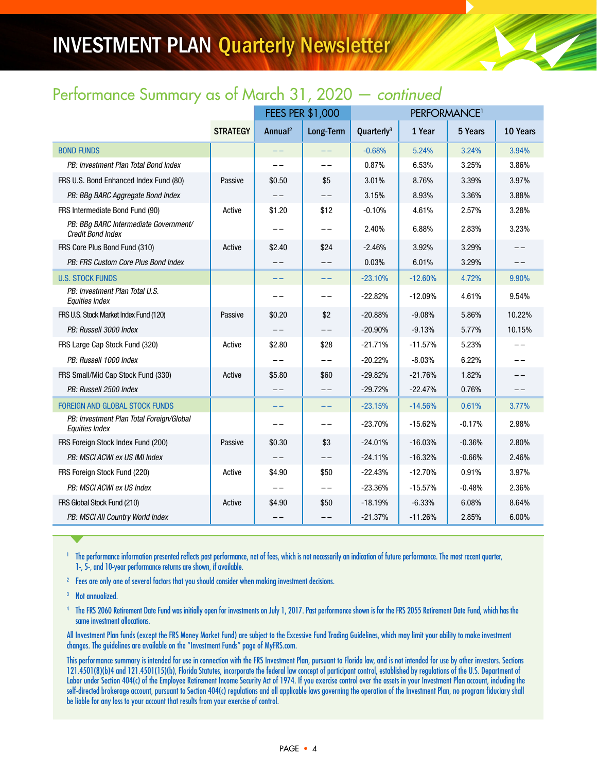# INVESTMENT PLAN Quarterly Newsletter

## Performance Summary as of March 31, 2020 — continued

|                                                                   |                 | <b>FEES PER \$1,000</b> |           | PERFORMANCE <sup>1</sup> |           |          |          |
|-------------------------------------------------------------------|-----------------|-------------------------|-----------|--------------------------|-----------|----------|----------|
|                                                                   | <b>STRATEGY</b> | Annual <sup>2</sup>     | Long-Term | Quarterly <sup>3</sup>   | 1 Year    | 5 Years  | 10 Years |
| <b>BOND FUNDS</b>                                                 |                 | $- -$                   | $- -$     | $-0.68%$                 | 5.24%     | 3.24%    | 3.94%    |
| PB: Investment Plan Total Bond Index                              |                 |                         | $- -$     | 0.87%                    | 6.53%     | 3.25%    | 3.86%    |
| FRS U.S. Bond Enhanced Index Fund (80)                            | Passive         | \$0.50                  | \$5       | 3.01%                    | 8.76%     | 3.39%    | 3.97%    |
| PB: BBq BARC Aggregate Bond Index                                 |                 |                         | $- -$     | 3.15%                    | 8.93%     | 3.36%    | 3.88%    |
| FRS Intermediate Bond Fund (90)                                   | Active          | \$1.20                  | \$12      | $-0.10%$                 | 4.61%     | 2.57%    | 3.28%    |
| PB: BBq BARC Intermediate Government/<br><b>Credit Bond Index</b> |                 |                         | $- -$     | 2.40%                    | 6.88%     | 2.83%    | 3.23%    |
| FRS Core Plus Bond Fund (310)                                     | Active          | \$2.40                  | \$24      | $-2.46%$                 | 3.92%     | 3.29%    | $- -$    |
| PB: FRS Custom Core Plus Bond Index                               |                 | --                      | $- -$     | 0.03%                    | 6.01%     | 3.29%    |          |
| <b>U.S. STOCK FUNDS</b>                                           |                 | $ -$                    | $-1$      | $-23.10%$                | $-12.60%$ | 4.72%    | 9.90%    |
| PB: Investment Plan Total U.S.<br><b>Equities Index</b>           |                 | $ -$                    | $-1$      | $-22.82%$                | $-12.09%$ | 4.61%    | 9.54%    |
| FRS U.S. Stock Market Index Fund (120)                            | Passive         | \$0.20                  | \$2       | $-20.88%$                | $-9.08%$  | 5.86%    | 10.22%   |
| PB: Russell 3000 Index                                            |                 |                         |           | $-20.90%$                | $-9.13%$  | 5.77%    | 10.15%   |
| FRS Large Cap Stock Fund (320)                                    | Active          | \$2.80                  | \$28      | $-21.71%$                | $-11.57%$ | 5.23%    |          |
| PB: Russell 1000 Index                                            |                 |                         | $-1$      | $-20.22%$                | $-8.03%$  | 6.22%    |          |
| FRS Small/Mid Cap Stock Fund (330)                                | Active          | \$5.80                  | \$60      | $-29.82%$                | $-21.76%$ | 1.82%    |          |
| PB: Russell 2500 Index                                            |                 | $ -$                    | $- -$     | $-29.72%$                | $-22.47%$ | 0.76%    | $ -$     |
| <b>FOREIGN AND GLOBAL STOCK FUNDS</b>                             |                 | --                      | $- -$     | $-23.15%$                | $-14.56%$ | 0.61%    | 3.77%    |
| PB: Investment Plan Total Foreign/Global<br><b>Equities Index</b> |                 | $ -$                    | $ -$      | $-23.70%$                | $-15.62%$ | $-0.17%$ | 2.98%    |
| FRS Foreign Stock Index Fund (200)                                | Passive         | \$0.30                  | \$3       | $-24.01%$                | $-16.03%$ | $-0.36%$ | 2.80%    |
| PB: MSCI ACWI ex US IMI Index                                     |                 |                         | $- -$     | $-24.11%$                | $-16.32%$ | $-0.66%$ | 2.46%    |
| FRS Foreign Stock Fund (220)                                      | Active          | \$4.90                  | \$50      | $-22.43%$                | $-12.70%$ | 0.91%    | 3.97%    |
| PB: MSCI ACWI ex US Index                                         |                 | $ -$                    | $- -$     | $-23.36%$                | $-15.57%$ | $-0.48%$ | 2.36%    |
| FRS Global Stock Fund (210)                                       | Active          | \$4.90                  | \$50      | $-18.19%$                | $-6.33%$  | 6.08%    | 8.64%    |
| PB: MSCI All Country World Index                                  |                 |                         | $- -$     | $-21.37%$                | $-11.26%$ | 2.85%    | 6.00%    |

<sup>1</sup> The performance information presented reflects past performance, net of fees, which is not necessarily an indication of future performance. The most recent quarter, 1-, 5-, and 10-year performance returns are shown, if available.

<sup>2</sup> Fees are only one of several factors that you should consider when making investment decisions.

<sup>3</sup> Not annualized.

<sup>4</sup> The FRS 2060 Retirement Date Fund was initially open for investments on July 1, 2017. Past performance shown is for the FRS 2055 Retirement Date Fund, which has the same investment allocations.

All Investment Plan funds (except the FRS Money Market Fund) are subject to the Excessive Fund Trading Guidelines, which may limit your ability to make investment changes. The guidelines are available on the "Investment Funds" page of MyFRS.com.

This performance summary is intended for use in connection with the FRS Investment Plan, pursuant to Florida law, and is not intended for use by other investors. Sections 121.4501(8)(b)4 and 121.4501(15)(b), Florida Statutes, incorporate the federal law concept of participant control, established by regulations of the U.S. Department of Labor under Section 404(c) of the Employee Retirement Income Security Act of 1974. If you exercise control over the assets in your Investment Plan account, including the self-directed brokerage account, pursuant to Section 404(c) regulations and all applicable laws governing the operation of the Investment Plan, no program fiduciary shall be liable for any loss to your account that results from your exercise of control.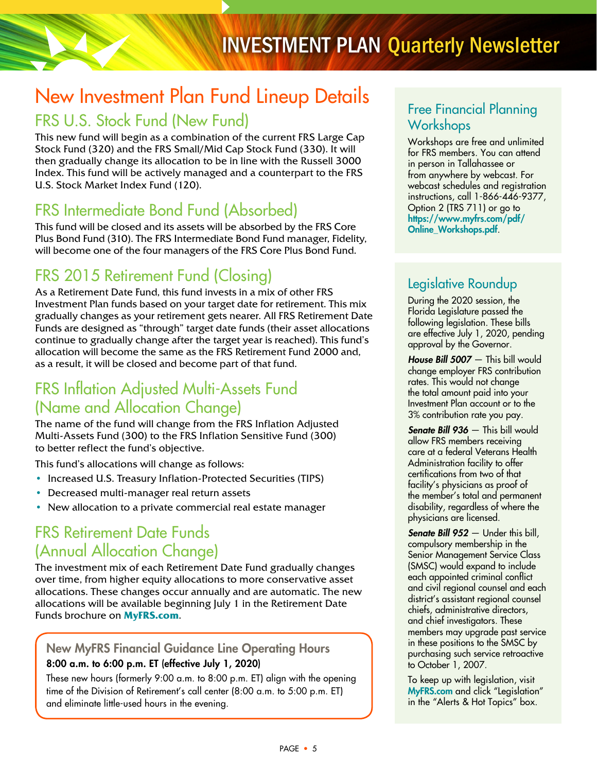# New Investment Plan Fund Lineup Details

## FRS U.S. Stock Fund (New Fund)

This new fund will begin as a combination of the current FRS Large Cap Stock Fund (320) and the FRS Small/Mid Cap Stock Fund (330). It will then gradually change its allocation to be in line with the Russell 3000 Index. This fund will be actively managed and a counterpart to the FRS U.S. Stock Market Index Fund (120).

## FRS Intermediate Bond Fund (Absorbed)

This fund will be closed and its assets will be absorbed by the FRS Core Plus Bond Fund (310). The FRS Intermediate Bond Fund manager, Fidelity, will become one of the four managers of the FRS Core Plus Bond Fund.

## FRS 2015 Retirement Fund (Closing)

As a Retirement Date Fund, this fund invests in a mix of other FRS Investment Plan funds based on your target date for retirement. This mix gradually changes as your retirement gets nearer. All FRS Retirement Date Funds are designed as "through" target date funds (their asset allocations continue to gradually change after the target year is reached). This fund's allocation will become the same as the FRS Retirement Fund 2000 and, as a result, it will be closed and become part of that fund.

## FRS Inflation Adjusted Multi-Assets Fund (Name and Allocation Change)

The name of the fund will change from the FRS Inflation Adjusted Multi-Assets Fund (300) to the FRS Inflation Sensitive Fund (300) to better reflect the fund's objective.

This fund's allocations will change as follows:

- Increased U.S. Treasury Inflation-Protected Securities (TIPS)
- Decreased multi-manager real return assets
- New allocation to a private commercial real estate manager

## FRS Retirement Date Funds (Annual Allocation Change)

The investment mix of each Retirement Date Fund gradually changes over time, from higher equity allocations to more conservative asset allocations. These changes occur annually and are automatic. The new allocations will be available beginning July 1 in the Retirement Date Funds brochure on **[MyFRS.com](https://myfrs.com/)**.

### New MyFRS Financial Guidance Line Operating Hours 8:00 a.m. to 6:00 p.m. ET (effective July 1, 2020)

These new hours (formerly 9:00 a.m. to 8:00 p.m. ET) align with the opening time of the Division of Retirement's call center (8:00 a.m. to 5:00 p.m. ET) and eliminate little-used hours in the evening.

### Free Financial Planning **Workshops**

Workshops are free and unlimited for FRS members. You can attend in person in Tallahassee or from anywhere by webcast. For webcast schedules and registration instructions, call 1-866-446-9377, Option 2 (TRS 711) or go to [https://www.myfrs.com/pdf/](https://www.myfrs.com/pdf/Online_Workshops.pdf) [Online\\_Workshops.pdf](https://www.myfrs.com/pdf/Online_Workshops.pdf).

## Legislative Roundup

During the 2020 session, the Florida Legislature passed the following legislation. These bills are effective July 1, 2020, pending approval by the Governor.

House Bill 5007 - This bill would change employer FRS contribution rates. This would not change the total amount paid into your Investment Plan account or to the 3% contribution rate you pay.

Senate Bill 936 — This bill would allow FRS members receiving care at a federal Veterans Health Administration facility to offer certifications from two of that facility's physicians as proof of the member's total and permanent disability, regardless of where the physicians are licensed.

Senate Bill 952 — Under this bill, compulsory membership in the Senior Management Service Class (SMSC) would expand to include each appointed criminal conflict and civil regional counsel and each district's assistant regional counsel chiefs, administrative directors, and chief investigators. These members may upgrade past service in these positions to the SMSC by purchasing such service retroactive to October 1, 2007.

To keep up with legislation, visit [MyFRS.com](https://myfrs.com/) and click "Legislation" in the "Alerts & Hot Topics" box.